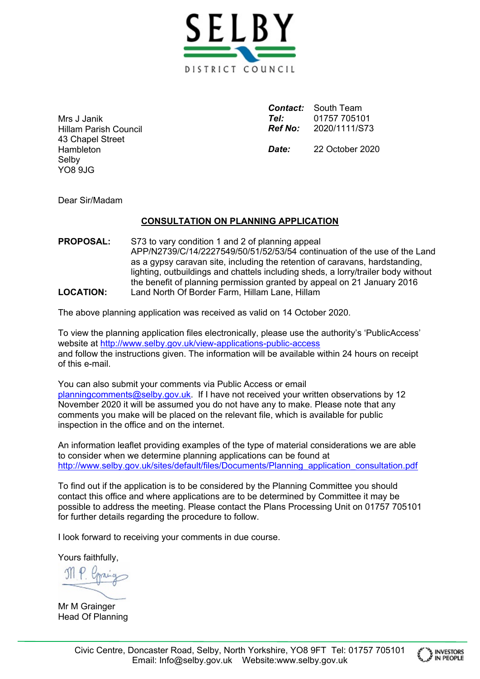

Mrs J Janik Hillam Parish Council 43 Chapel Street **Hambleton** Selby YO8 9JG

*Contact:* South Team *Tel:* 01757 705101 *Ref No:* 2020/1111/S73 *Date:* 22 October 2020

Dear Sir/Madam

## **CONSULTATION ON PLANNING APPLICATION**

**PROPOSAL:** S73 to vary condition 1 and 2 of planning appeal APP/N2739/C/14/2227549/50/51/52/53/54 continuation of the use of the Land as a gypsy caravan site, including the retention of caravans, hardstanding, lighting, outbuildings and chattels including sheds, a lorry/trailer body without the benefit of planning permission granted by appeal on 21 January 2016 **LOCATION:** Land North Of Border Farm, Hillam Lane, Hillam

The above planning application was received as valid on 14 October 2020.

To view the planning application files electronically, please use the authority's 'PublicAccess' website at <http://>[www.selby.gov.uk/view-applications-public-access](http://www.selby.gov.uk/view-applications-public-access) and follow the instructions given. The information will be available within 24 hours on receipt of this e-mail.

You can also submit your comments via Public Access or email [planningcomments@selby.gov.uk.](mailto:planningcomments@selby.gov.uk) If I have not received your written observations by 12 November 2020 it will be assumed you do not have any to make. Please note that any comments you make will be placed on the relevant file, which is available for public inspection in the office and on the internet.

An information leaflet providing examples of the type of material considerations we are able to consider when we determine planning applications can be found at [http://www.selby.gov.uk/sites/default/files/Documents/Planning\\_application\\_consultation.pdf](http://www.selby.gov.uk/sites/default/files/Documents/Planning_application_consultation.pdf)

To find out if the application is to be considered by the Planning Committee you should contact this office and where applications are to be determined by Committee it may be possible to address the meeting. Please contact the Plans Processing Unit on 01757 705101 for further details regarding the procedure to follow.

I look forward to receiving your comments in due course.

Yours faithfully,

Mr M Grainger Head Of Planning